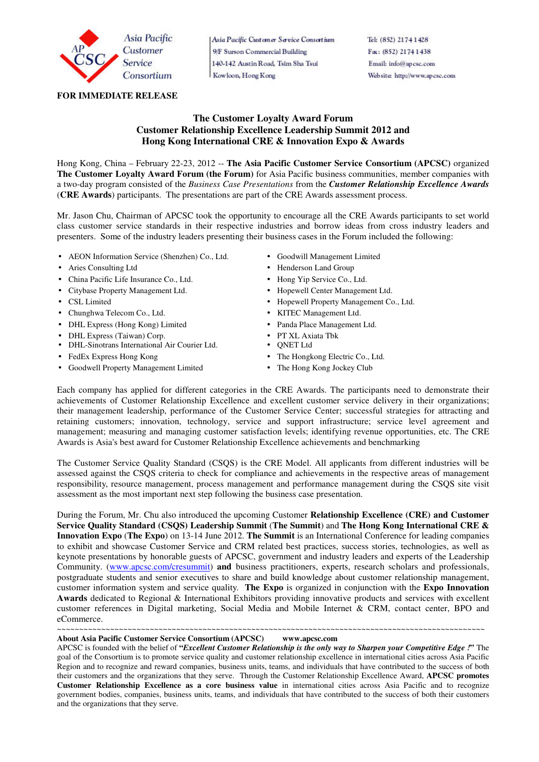

## **FOR IMMEDIATE RELEASE**

# Asia Pacific Customer Service Consortium 9/F Surson Commercial Building 140-142 Austin Road, Tsim Sha Tsui Kowloon, Hong Kong

Tel: (852) 2174 1428 Fax: (852) 2174 1438 Email: info@apcsc.com Website: http://www.apcsc.com

## **The Customer Loyalty Award Forum Customer Relationship Excellence Leadership Summit 2012 and Hong Kong International CRE & Innovation Expo & Awards**

Hong Kong, China – February 22-23, 2012 -- **The Asia Pacific Customer Service Consortium (APCSC)** organized **The Customer Loyalty Award Forum (the Forum)** for Asia Pacific business communities, member companies with a two-day program consisted of the *Business Case Presentations* from the *Customer Relationship Excellence Awards* (**CRE Awards**) participants. The presentations are part of the CRE Awards assessment process.

Mr. Jason Chu, Chairman of APCSC took the opportunity to encourage all the CRE Awards participants to set world class customer service standards in their respective industries and borrow ideas from cross industry leaders and presenters. Some of the industry leaders presenting their business cases in the Forum included the following:

- AEON Information Service (Shenzhen) Co., Ltd. Goodwill Management Limited
- 
- China Pacific Life Insurance Co., Ltd. Hong Yip Service Co., Ltd.
- Citybase Property Management Ltd. <br>• Hopewell Center Management Ltd.
- 
- Chunghwa Telecom Co., Ltd. KITEC Management Ltd.
- DHL Express (Hong Kong) Limited Panda Place Management Ltd.
- DHL Express (Taiwan) Corp. PT XL Axiata Tbk
- DHL-Sinotrans International Air Courier Ltd. ONET Ltd
- 
- Goodwell Property Management Limited The Hong Kong Jockey Club
- 
- Aries Consulting Ltd Henderson Land Group
	-
	-
- CSL Limited Hopewell Property Management Co., Ltd.
	-
	-
	-
	-
- FedEx Express Hong Kong **The Hongkong Electric Co., Ltd.** 
	-

Each company has applied for different categories in the CRE Awards. The participants need to demonstrate their achievements of Customer Relationship Excellence and excellent customer service delivery in their organizations; their management leadership, performance of the Customer Service Center; successful strategies for attracting and retaining customers; innovation, technology, service and support infrastructure; service level agreement and management; measuring and managing customer satisfaction levels; identifying revenue opportunities, etc. The CRE Awards is Asia's best award for Customer Relationship Excellence achievements and benchmarking

The Customer Service Quality Standard (CSQS) is the CRE Model. All applicants from different industries will be assessed against the CSQS criteria to check for compliance and achievements in the respective areas of management responsibility, resource management, process management and performance management during the CSQS site visit assessment as the most important next step following the business case presentation.

During the Forum, Mr. Chu also introduced the upcoming Customer **Relationship Excellence (CRE) and Customer Service Quality Standard (CSQS) Leadership Summit** (**The Summit**) and **The Hong Kong International CRE & Innovation Expo** (**The Expo**) on 13-14 June 2012. **The Summit** is an International Conference for leading companies to exhibit and showcase Customer Service and CRM related best practices, success stories, technologies, as well as keynote presentations by honorable guests of APCSC, government and industry leaders and experts of the Leadership Community. (www.apcsc.com/cresummit) **and** business practitioners, experts, research scholars and professionals, postgraduate students and senior executives to share and build knowledge about customer relationship management, customer information system and service quality. **The Expo** is organized in conjunction with the **Expo Innovation Awards** dedicated to Regional & International Exhibitors providing innovative products and services with excellent customer references in Digital marketing, Social Media and Mobile Internet & CRM, contact center, BPO and eCommerce.

**About Asia Pacific Customer Service Consortium (APCSC) www.apcsc.com** 

APCSC is founded with the belief of **"***Excellent Customer Relationship is the only way to Sharpen your Competitive Edge !***"** The goal of the Consortium is to promote service quality and customer relationship excellence in international cities across Asia Pacific Region and to recognize and reward companies, business units, teams, and individuals that have contributed to the success of both their customers and the organizations that they serve. Through the Customer Relationship Excellence Award, **APCSC promotes Customer Relationship Excellence as a core business value** in international cities across Asia Pacific and to recognize government bodies, companies, business units, teams, and individuals that have contributed to the success of both their customers and the organizations that they serve.

~~~~~~~~~~~~~~~~~~~~~~~~~~~~~~~~~~~~~~~~~~~~~~~~~~~~~~~~~~~~~~~~~~~~~~~~~~~~~~~~~~~~~~~~~~~~~~~~~